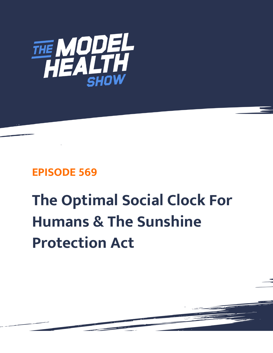

## **EPISODE 569**

## **The Optimal Social Clock For Humans & The Sunshine Protection Act**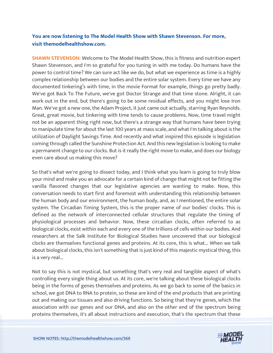## **You are now listening to The Model Health Show with Shawn Stevenson. For more, visit themodelhealthshow.com.**

**SHAWN STEVENSON:** Welcome to The Model Health Show, this is fitness and nutrition expert Shawn Stevenson, and I'm so grateful for you tuning in with me today. Do humans have the power to control time? We can sure act like we do, but what we experience as time is a highly complex relationship between our bodies and the entire solar system. Every time we have any documented tinkering's with time, in the movie Format for example, things go pretty badly. We've got Back To The Future, we've got Doctor Strange and that time stone. Alright, it can work out in the end, but there's going to be some residual effects, and you might lose Iron Man. We've got a new one, the Adam Project, it just came out actually, starring Ryan Reynolds. Great, great movie, but tinkering with time tends to cause problems. Now, time travel might not be an apparent thing right now, but there's a strange way that humans have been trying to manipulate time for about the last 100 years at mass scale, and what I'm talking about is the utilization of Daylight Savings Time. And recently and what inspired this episode is legislation coming through called the Sunshine Protection Act. And this new legislation is looking to make a permanent change to our clocks. But is it really the right move to make, and does our biology even care about us making this move?

So that's what we're going to dissect today, and I think what you learn is going to truly blow your mind and make you an advocate for a certain kind of change that might not be fitting the vanilla flavored changes that our legislative agencies are wanting to make. Now, this conversation needs to start first and foremost with understanding this relationship between the human body and our environment, the human body, and, as I mentioned, the entire solar system. The Circadian Timing System, this is the proper name of our bodies' clocks. This is defined as the network of interconnected cellular structures that regulate the timing of physiological processes and behavior. Now, these circadian clocks, often referred to as biological clocks, exist within each and every one of the trillions of cells within our bodies. And researchers at the Salk Institute for Biological Studies have uncovered that our biological clocks are themselves functional genes and proteins. At its core, this is what... When we talk about biological clocks, this isn't something that is just kind of this majestic mystical thing, this is a very real...

Not to say this is not mystical, but something that's very real and tangible aspect of what's controlling every single thing about us. At its core, we're talking about these biological clocks being in the forms of genes themselves and proteins. As we go back to some of the basics in school, we got DNA to RNA to protein, so these are kind of the end products that are printing out and making our tissues and also driving functions. So being that they're genes, which the association with our genes and our DNA, and also on the other end of the spectrum being [proteins themselves, it](https://themodelhealthshow.com/sunshine-protection-act/)'[s all about instructions and execution, that](https://themodelhealthshow.com/sunshine-protection-act/)'[s the spectrum that these](https://themodelhealthshow.com/sunshine-protection-act/)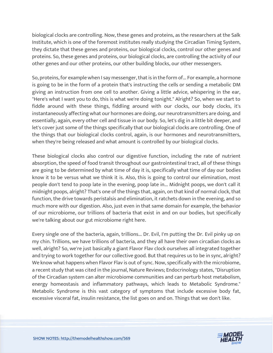biological clocks are controlling. Now, these genes and proteins, as the researchers at the Salk Institute, which is one of the foremost institutes really studying the Circadian Timing System, they dictate that these genes and proteins, our biological clocks, control our other genes and proteins. So, these genes and proteins, our biological clocks, are controlling the activity of our other genes and our other proteins, our other building blocks, our other messengers.

So, proteins, for example when I say messenger, that is in the form of... For example, a hormone is going to be in the form of a protein that's instructing the cells or sending a metabolic DM giving an instruction from one cell to another. Giving a little advice, whispering in the ear, "Here's what I want you to do, this is what we're doing tonight." Alright? So, when we start to fiddle around with these things, fiddling around with our clocks, our body clocks, it's instantaneously affecting what our hormones are doing, our neurotransmitters are doing, and essentially, again, every other cell and tissue in our body. So, let's dig in a little bit deeper, and let's cover just some of the things specifically that our biological clocks are controlling. One of the things that our biological clocks control, again, is our hormones and neurotransmitters, when they're being released and what amount is controlled by our biological clocks.

These biological clocks also control our digestive function, including the rate of nutrient absorption, the speed of food transit throughout our gastrointestinal tract, all of these things are going to be determined by what time of day it is, specifically what time of day our bodies know it to be versus what we think it is. Also, this is going to control our elimination, most people don't tend to poop late in the evening, poop late in... Midnight poops, we don't call it midnight poops, alright? That's one of the things that, again, on that kind of normal clock, that function, the drive towards peristalsis and elimination, it ratchets down in the evening, and so much more with our digestion. Also, just even in that same domain for example, the behavior of our microbiome, our trillions of bacteria that exist in and on our bodies, but specifically we're talking about our gut microbiome right here.

Every single one of the bacteria, again, trillions... Dr. Evil, I'm putting the Dr. Evil pinky up on my chin. Trillions, we have trillions of bacteria, and they all have their own circadian clocks as well, alright? So, we're just basically a giant Flavor Flav clock ourselves all integrated together and trying to work together for our collective good. But that requires us to be in sync, alright? We know what happens when Flavor Flav is out of sync. Now, specifically with the microbiome, a recent study that was cited in the journal, Nature Reviews; Endocrinology states, "Disruption of the Circadian system can alter microbiome communities and can perturb host metabolism, energy homeostasis and inflammatory pathways, which leads to Metabolic Syndrome." Metabolic Syndrome is this vast category of symptoms that include excessive body fat, excessive visceral fat, insulin resistance, the list goes on and on. Things that we don't like.

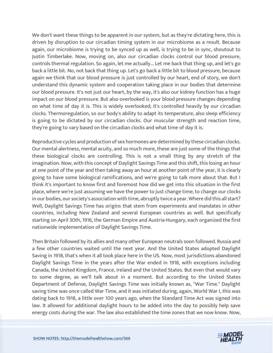We don't want these things to be apparent in our system, but as they're dictating here, this is driven by disruption to our circadian timing system in our microbiome as a result. Because again, our microbiome is trying to be synced up as well, is trying to be in sync, shoutout to Justin Timberlake. Now, moving on, also our circadian clocks control our blood pressure, controls thermal regulation. So again, let me actually... Let me back that thing up, and let's go back a little bit. No, not back that thing up. Let's go back a little bit to blood pressure, because again we think that our blood pressure is just controlled by our heart, end of story, we don't understand this dynamic system and cooperation taking place in our bodies that determine our blood pressure. It's not just our heart, by the way, it's also our kidney function has a huge impact on our blood pressure. But also overlooked is your blood pressure changes depending on what time of day it is. This is widely overlooked; it's controlled heavily by our circadian clocks. Thermoregulation, so our body's ability to adapt its temperature, also sleep efficiency is going to be dictated by our circadian clocks. Our muscular strength and reaction time, they're going to vary based on the circadian clocks and what time of day it is.

Reproductive cycles and production of sex hormones are determined by these circadian clocks. Our mental alertness, mental acuity, and so much more, these are just some of the things that these biological clocks are controlling. This is not a small thing by any stretch of the imagination. Now, with this concept of Daylight Savings Time and this shift, this losing an hour at one point of the year and then taking away an hour at another point of the year, it is clearly going to have some biological ramifications, and we're going to talk more about that. But I think it's important to know first and foremost how did we get into this situation in the first place, where we're just assuming we have the power to just change time, to change our clocks in our bodies, our society's association with time, abruptly twice a year. Where did this all start? Well, Daylight Savings Time has origins that stem from experiments and mandates in other countries, including New Zealand and several European countries as well. But specifically starting on April 30th, 1916, the German Empire and Austria-Hungary, each organized the first nationwide implementation of Daylight Savings Time.

Then Britain followed by its allies and many other European neutrals soon followed. Russia and a few other countries waited until the next year. And the United States adopted Daylight Saving in 1918, that's when it all took place here in the US. Now, most jurisdictions abandoned Daylight Savings Time in the years after the War ended in 1918, with exceptions including Canada, the United Kingdom, France, Ireland and the United States. But even that would vary to some degree, as we'll talk about in a moment. But according to the United States Department of Defense, Daylight Savings Time was initially known as, "War Time." Daylight saving time was once called War Time, and it was initiated during, again, World War I, this was dating back to 1918, a little over 100 years ago, when the Standard Time Act was signed into law. It allowed for additional daylight hours to be added into the day to possibly help save [energy costs during the war. The law also established the time zones that we now know. Now,](https://themodelhealthshow.com/sunshine-protection-act/)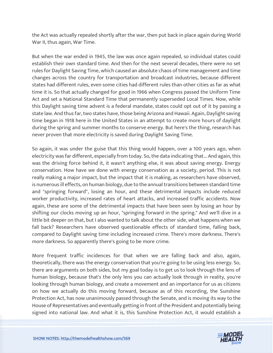the Act was actually repealed shortly after the war, then put back in place again during World War II, thus again, War Time.

But when the war ended in 1945, the law was once again repealed, so individual states could establish their own standard time. And then for the next several decades, there were no set rules for Daylight Saving Time, which caused an absolute chaos of time management and time changes across the country for transportation and broadcast industries, because different states had different rules, even some cities had different rules than other cities as far as what time it is. So that actually changed for good in 1966 when Congress passed the Uniform Time Act and set a National Standard Time that permanently superseded Local Times. Now, while this Daylight saving time advent is a federal mandate, states could opt out of it by passing a state law. And thus far, two states have, those being Arizona and Hawaii. Again, Daylight saving time began in 1918 here in the United States in an attempt to create more hours of daylight during the spring and summer months to conserve energy. But here's the thing, research has never proven that more electricity is saved during Daylight Saving Time.

So again, it was under the guise that this thing would happen, over a 100 years ago, when electricity was far different, especially from today. So, the data indicating that... And again, this was the driving force behind it, it wasn't anything else, it was about saving energy. Energy conservation. How have we done with energy conservation as a society, period. This is not really making a major impact, but the impact that it is making, as researchers have observed, is numerous ill effects, on human biology, due to the annual transitions between standard time and "springing forward", losing an hour, and these detrimental impacts include reduced worker productivity, increased rates of heart attacks, and increased traffic accidents. Now again, these are some of the detrimental impacts that have been seen by losing an hour by shifting our clocks moving up an hour, "springing forward in the spring." And we'll dive in a little bit deeper on that, but I also wanted to talk about the other side, what happens when we fall back? Researchers have observed questionable effects of standard time, falling back, compared to Daylight saving time including increased crime. There's more darkness. There's more darkness. So apparently there's going to be more crime.

More frequent traffic incidences for that when we are falling back and also, again, theoretically, there was the energy conservation that you're going to be using less energy. So, there are arguments on both sides, but my goal today is to get us to look through the lens of human biology, because that's the only lens you can actually look through in reality, you're looking through human biology, and create a movement and an importance for us as citizens on how we actually do this moving forward, because as of this recording, the Sunshine Protection Act, has now unanimously passed through the Senate, and is moving its way to the House of Representatives and eventually getting in front of the President and potentially being [signed into national law. And what it is, this Sunshine Protection Act, it would establish a](https://themodelhealthshow.com/sunshine-protection-act/)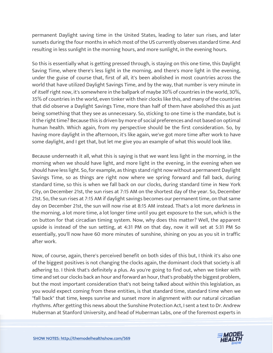permanent Daylight saving time in the United States, leading to later sun rises, and later sunsets during the four months in which most of the US currently observes standard time. And resulting in less sunlight in the morning hours, and more sunlight, in the evening hours.

So this is essentially what is getting pressed through, is staying on this one time, this Daylight Saving Time, where there's less light in the morning, and there's more light in the evening, under the guise of course that, first of all, it's been abolished in most countries across the world that have utilized Daylight Savings Time, and by the way, that number is very minute in of itself right now, it's somewhere in the ballpark of maybe 30% of countries in the world, 30%, 35% of countries in the world, even tinker with their clocks like this, and many of the countries that did observe a Daylight Savings Time, more than half of them have abolished this as just being something that they see as unnecessary. So, sticking to one time is the mandate, but is it the right time? Because this is driven by more of social preferences and not based on optimal human health. Which again, from my perspective should be the first consideration. So, by having more daylight in the afternoon, it's like again, we've got more time after work to have some daylight, and I get that, but let me give you an example of what this would look like.

Because underneath it all, what this is saying is that we want less light in the morning, in the morning when we should have light, and more light in the evening, in the evening when we should have less light. So, for example, as things stand right now without a permanent Daylight Savings Time, so as things are right now where we spring forward and fall back, during standard time, so this is when we fall back on our clocks, during standard time in New York City, on December 21st, the sun rises at 7:15 AM on the shortest day of the year. So, December 21st. So, the sun rises at 7:15 AM if daylight savings becomes our permanent time, on that same day on December 21st, the sun will now rise at 8:15 AM instead. That's a lot more darkness in the morning, a lot more time, a lot longer time until you get exposure to the sun, which is the on button for that circadian timing system. Now, why does this matter? Well, the apparent upside is instead of the sun setting, at 4:31 PM on that day, now it will set at 5:31 PM So essentially, you'll now have 60 more minutes of sunshine, shining on you as you sit in traffic after work.

Now, of course, again, there's perceived benefit on both sides of this but, I think it's also one of the biggest positives is not changing the clocks again, the dominant clock that society is all adhering to. I think that's definitely a plus. As you're going to find out, when we tinker with time and set our clocks back an hour and forward an hour, that's probably the biggest problem, but the most important consideration that's not being talked about within this legislation, as you would expect coming from these entities, is that standard time, standard time when we "fall back" that time, keeps sunrise and sunset more in alignment with our natural circadian rhythms. After getting this news about the Sunshine Protection Act, I sent a text to Dr. Andrew [Huberman at Stanford University, and head of Huberman Labs, one of the foremost experts in](https://themodelhealthshow.com/sunshine-protection-act/)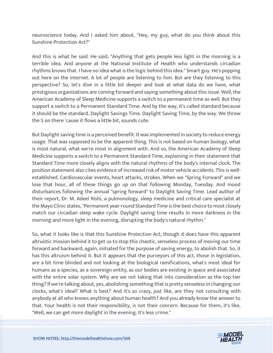neuroscience today. And I asked him about, "Hey, my guy, what do you think about this Sunshine Protection Act?"

And this is what he said. He said, "Anything that gets people less light in the morning is a terrible idea. And anyone at the National Institute of Health who understands circadian rhythms knows that. I have no idea what is the logic behind this idea." Smart guy. He's popping out here on the internet. A lot of people are listening to him. But are they listening to this perspective? So, let's dive in a little bit deeper and look at what data do we have, what prestigious organizations are coming forward and saying something about this issue. Well, the American Academy of Sleep Medicine supports a switch to a permanent time as well. But they support a switch to a Permanent Standard Time. And by the way, it's called standard because it should be the standard. Daylight Savings Time. Daylight Saving Time, by the way. We throw the S on there 'cause it flows a little bit, sounds cute.

But Daylight saving time is a perceived benefit. It was implemented in society to reduce energy usage. That was supposed to be the apparent thing. This is not based on human biology, what is most natural, what we're most in alignment with. And so, the American Academy of Sleep Medicine supports a switch to a Permanent Standard Time, explaining in their statement that Standard Time more closely aligns with the natural rhythms of the body's internal clock. The position statement also cites evidence of increased risk of motor vehicle accidents. This is wellestablished. Cardiovascular events, heart attacks, strokes. When we "Spring Forward" and we lose that hour, all of these things go up on that following Monday, Tuesday. And mood disturbances following the annual "spring forward" to Daylight Saving Time. Lead author of their report, Dr. M. Adeel Rishi, a pulmonology, sleep medicine and critical care specialist at the Mayo Clinic states, "Permanent year-round Standard Time is the best choice to most closely match our circadian sleep wake cycle. Daylight saving time results in more darkness in the morning and more light in the evening, disrupting the body's natural rhythm."

So, what it looks like is that this Sunshine Protection Act, though it does have this apparent altruistic mission behind it to get us to stop this chaotic, senseless process of moving our time forward and backward, again, initiated for the purpose of saving energy, to abolish that. So, it has this altruism behind it. But it appears that the purveyors of this act, those in legislation, are a bit time blinded and not looking at the biological ramifications, what's most ideal for humans as a species, as a sovereign entity, as our bodies are existing in space and associated with the entire solar system. Why are we not taking that into consideration as the top tier thing? If we're talking about, yes, abolishing something that is pretty senseless in changing our clocks, what's ideal? What is best? And it's so crazy, just like, are they not consulting with anybody at all who knows anything about human health? And you already know the answer to that. Your health is not their responsibility, is not their concern. Because for them, it's like, ["Well, we can get more daylight in the evening. It](https://themodelhealthshow.com/sunshine-protection-act/)'[s less crime."](https://themodelhealthshow.com/sunshine-protection-act/)

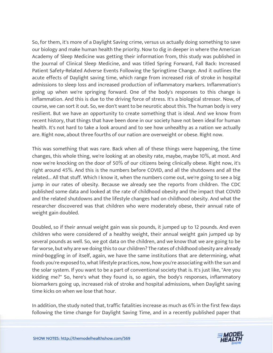So, for them, it's more of a Daylight Saving crime, versus us actually doing something to save our biology and make human health the priority. Now to dig in deeper in where the American Academy of Sleep Medicine was getting their information from, this study was published in the Journal of Clinical Sleep Medicine, and was titled Spring Forward, Fall Back: Increased Patient Safety-Related Adverse Events Following the Springtime Change. And it outlines the acute effects of Daylight saving time, which range from increased risk of stroke in hospital admissions to sleep loss and increased production of inflammatory markers. Inflammation's going up when we're springing forward. One of the body's responses to this change is inflammation. And this is due to the driving force of stress. It's a biological stressor. Now, of course, we can sort it out. So, we don't want to be neurotic about this. The human body is very resilient. But we have an opportunity to create something that is ideal. And we know from recent history, that things that have been done in our society have not been ideal for human health. It's not hard to take a look around and to see how unhealthy as a nation we actually are. Right now, about three fourths of our nation are overweight or obese. Right now.

This was something that was rare. Back when all of these things were happening, the time changes, this whole thing, we're looking at an obesity rate, maybe, maybe 10%, at most. And now we're knocking on the door of 50% of our citizens being clinically obese. Right now, it's right around 45%. And this is the numbers before COVID, and all the shutdowns and all the related... All that stuff. Which I know it, when the numbers come out, we're going to see a big jump in our rates of obesity. Because we already see the reports from children. The CDC published some data and looked at the rate of childhood obesity and the impact that COVID and the related shutdowns and the lifestyle changes had on childhood obesity. And what the researcher discovered was that children who were moderately obese, their annual rate of weight gain doubled.

Doubled, so if their annual weight gain was six pounds, it jumped up to 12 pounds. And even children who were considered of a healthy weight, their annual weight gain jumped up by several pounds as well. So, we got data on the children, and we know that we are going to be far worse, but why are we doing this to our children? The rates of childhood obesity are already mind-boggling in of itself, again, we have the same institutions that are determining, what foods you're exposed to, what lifestyle practices, now, how you're associating with the sun and the solar system. If you want to be a part of conventional society that is. It's just like, "Are you kidding me?" So, here's what they found is, so again, the body's responses, inflammatory biomarkers going up, increased risk of stroke and hospital admissions, when Daylight saving time kicks on when we lose that hour.

In addition, the study noted that, traffic fatalities increase as much as 6% in the first few days [following the time change for Daylight Saving Time, and in a recently published paper that](https://themodelhealthshow.com/sunshine-protection-act/) 

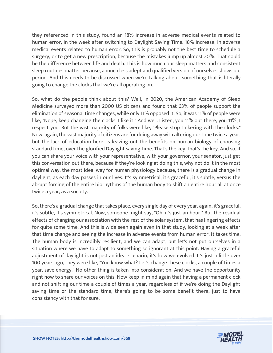they referenced in this study, found an 18% increase in adverse medical events related to human error, in the week after switching to Daylight Saving Time. 18% increase, in adverse medical events related to human error. So, this is probably not the best time to schedule a surgery, or to get a new prescription, because the mistakes jump up almost 20%. That could be the difference between life and death. This is how much our sleep matters and consistent sleep routines matter because, a much less adept and qualified version of ourselves shows up, period. And this needs to be discussed when we're talking about, something that is literally going to change the clocks that we're all operating on.

So, what do the people think about this? Well, in 2020, the American Academy of Sleep Medicine surveyed more than 2000 US citizens and found that 63% of people support the elimination of seasonal time changes, while only 11% opposed it. So, it was 11% of people were like, "Nope, keep changing the clocks, I like it." And we... Listen, you 11% out there, you 11%, I respect you. But the vast majority of folks were like, "Please stop tinkering with the clocks." Now, again, the vast majority of citizens are for doing away with altering our time twice a year, but the lack of education here, is leaving out the benefits on human biology of choosing standard time, over the glorified Daylight saving time. That's the key, that's the key. And so, if you can share your voice with your representative, with your governor, your senator, just get this conversation out there, because if they're looking at doing this, why not do it in the most optimal way, the most ideal way for human physiology because, there is a gradual change in daylight, as each day passes in our lives. It's symmetrical, it's graceful, it's subtle, versus the abrupt forcing of the entire biorhythms of the human body to shift an entire hour all at once twice a year, as a society.

So, there's a gradual change that takes place, every single day of every year, again, it's graceful, it's subtle, it's symmetrical. Now, someone might say, "Oh, it's just an hour." But the residual effects of changing our association with the rest of the solar system, that has lingering effects for quite some time. And this is wide seen again even in that study, looking at a week after that time change and seeing the increase in adverse events from human error, it takes time. The human body is incredibly resilient, and we can adapt, but let's not put ourselves in a situation where we have to adapt to something so ignorant at this point. Having a graceful adjustment of daylight is not just an ideal scenario, it's how we evolved. It's just a little over 100 years ago, they were like, "You know what? Let's change these clocks, a couple of times a year, save energy." No other thing is taken into consideration. And we have the opportunity right now to share our voices on this. Now keep in mind again that having a permanent clock and not shifting our time a couple of times a year, regardless of if we're doing the Daylight saving time or the standard time, there's going to be some benefit there, just to have consistency with that for sure.

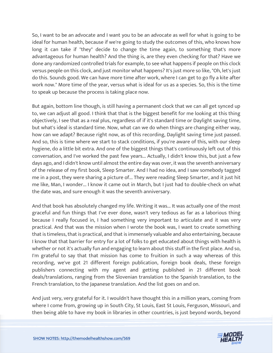So, I want to be an advocate and I want you to be an advocate as well for what is going to be ideal for human health, because if we're going to study the outcomes of this, who knows how long it can take if "they" decide to change the time again, to something that's more advantageous for human health? And the thing is, are they even checking for that? Have we done any randomized controlled trials for example, to see what happens if people on this clock versus people on this clock, and just monitor what happens? It's just more so like, "Oh, let's just do this. Sounds good. We can have more time after work, where I can get to go fly a kite after work now." More time of the year, versus what is ideal for us as a species. So, this is the time to speak up because the process is taking place now.

But again, bottom line though, is still having a permanent clock that we can all get synced up to, we can adjust all good. I think that that is the biggest benefit for me looking at this thing objectively, I see that as a real plus, regardless of if it's standard time or Daylight saving time, but what's ideal is standard time. Now, what can we do when things are changing either way, how can we adapt? Because right now, as of this recording, Daylight saving time just passed. And so, this is time where we start to stack conditions, if you're aware of this, with our sleep hygiene, do a little bit extra. And one of the biggest things that's continuously left out of this conversation, and I've worked the past few years... Actually, I didn't know this, but just a few days ago, and I didn't know until almost the entire day was over, it was the seventh anniversary of the release of my first book, Sleep Smarter. And I had no idea, and I saw somebody tagged me in a post, they were sharing a picture of... They were reading Sleep Smarter, and it just hit me like, Man, I wonder... I know it came out in March, but I just had to double-check on what the date was, and sure enough it was the seventh anniversary.

And that book has absolutely changed my life. Writing it was... It was actually one of the most graceful and fun things that I've ever done, wasn't very tedious as far as a laborious thing because I really focused in, I had something very important to articulate and it was very practical. And that was the mission when I wrote the book was, I want to create something that is timeless, that is practical, and that is immensely valuable and also entertaining, because I know that that barrier for entry for a lot of folks to get educated about things with health is whether or not it's actually fun and engaging to learn about this stuff in the first place. And so, I'm grateful to say that that mission has come to fruition in such a way whereas of this recording, we've got 21 different foreign publication, foreign book deals, these foreign publishers connecting with my agent and getting published in 21 different book deals/translations, ranging from the Slovenian translation to the Spanish translation, to the French translation, to the Japanese translation. And the list goes on and on.

And just very, very grateful for it. I wouldn't have thought this in a million years, coming from where I come from, growing up in South City, St Louis, East St Louis, Ferguson, Missouri, and [then being able to have my book in libraries in other countries, is just beyond words, beyond](https://themodelhealthshow.com/sunshine-protection-act/) 

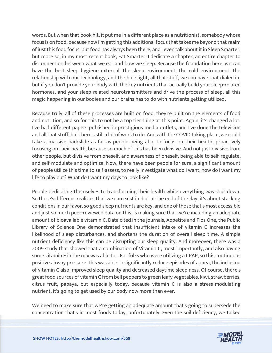words. But when that book hit, it put me in a different place as a nutritionist, somebody whose focus is on food, because now I'm getting this additional focus that takes me beyond that realm of just this food focus, but food has always been there, and I even talk about it in Sleep Smarter, but more so, in my most recent book, Eat Smarter, I dedicate a chapter, an entire chapter to disconnection between what we eat and how we sleep. Because the foundation here, we can have the best sleep hygiene external, the sleep environment, the cold environment, the relationship with our technology, and the blue light, all that stuff, we can have that dialed in, but if you don't provide your body with the key nutrients that actually build your sleep-related hormones, and your sleep-related neurotransmitters and drive the process of sleep, all this magic happening in our bodies and our brains has to do with nutrients getting utilized.

Because truly, all of these processes are built on food, they're built on the elements of food and nutrition, and so for this to not be a top tier thing at this point. Again, it's changed a lot. I've had different papers published in prestigious media outlets, and I've done the television and all that stuff, but there's still a lot of work to do. And with the COVID taking place, we could take a massive backslide as far as people being able to focus on their health, proactively focusing on their health, because so much of this has been divisive. And not just divisive from other people, but divisive from oneself, and awareness of oneself, being able to self-regulate, and self-modulate and optimize. Now, there have been people for sure, a significant amount of people utilize this time to self-assess, to really investigate what do I want, how do I want my life to play out? What do I want my days to look like?

People dedicating themselves to transforming their health while everything was shut down. So there's different realities that we can exist in, but at the end of the day, it's about stacking conditions in our favor, so good sleep nutrients are key, and one of those that's most accessible and just so much peer-reviewed data on this, is making sure that we're including an adequate amount of bioavailable vitamin C. Data cited in the journals, Appetite and Plos One, the Public Library of Science One demonstrated that insufficient intake of vitamin C increases the likelihood of sleep disturbances, and shortens the duration of overall sleep time. A simple nutrient deficiency like this can be disrupting our sleep quality. And moreover, there was a 2009 study that showed that a combination of Vitamin C, most importantly, and also having some vitamin E in the mix was able to... For folks who were utilizing a CPAP, so this continuous positive airway pressure, this was able to significantly reduce episodes of apnea, the inclusion of vitamin C also improved sleep quality and decreased daytime sleepiness. Of course, there's great food sources of vitamin C from bell peppers to green leafy vegetables, kiwi, strawberries, citrus fruit, papaya, but especially today, because vitamin C is also a stress-modulating nutrient, it's going to get used by our body now more than ever.

We need to make sure that we're getting an adequate amount that's going to supersede the [concentration that](https://themodelhealthshow.com/sunshine-protection-act/)'[s in most foods today, unfortunately. Even the soil deficiency, we talked](https://themodelhealthshow.com/sunshine-protection-act/) 

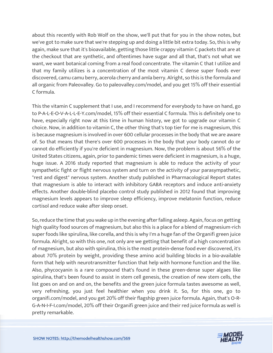about this recently with Rob Wolf on the show, we'll put that for you in the show notes, but we've got to make sure that we're stepping up and doing a little bit extra today. So, this is why again, make sure that it's bioavailable, getting those little crappy vitamin C packets that are at the checkout that are synthetic, and oftentimes have sugar and all that, that's not what we want, we want botanical coming from a real food concentrate. The vitamin C that I utilize and that my family utilizes is a concentration of the most vitamin C dense super foods ever discovered, camu camu berry, acerola cherry and amla berry. Alright, so this is the formula and all organic from Paleovalley. Go to paleovalley.com/model, and you get 15% off their essential C formula.

This the vitamin C supplement that I use, and I recommend for everybody to have on hand, go to P-A-L-E-O-V-A-L-L-E-Y.com/model, 15% off their essential C formula. This is definitely one to have, especially right now at this time in human history, we got to upgrade our vitamin C choice. Now, in addition to vitamin C, the other thing that's top tier for me is magnesium, this is because magnesium is involved in over 600 cellular processes in the body that we are aware of. So that means that there's over 600 processes in the body that your body cannot do or cannot do efficiently if you're deficient in magnesium. Now, the problem is about 56% of the United States citizens, again, prior to pandemic times were deficient in magnesium, is a huge, huge issue. A 2016 study reported that magnesium is able to reduce the activity of your sympathetic fight or flight nervous system and turn on the activity of your parasympathetic, "rest and digest" nervous system. Another study published in Pharmacological Report states that magnesium is able to interact with inhibitory GABA receptors and induce anti-anxiety effects. Another double-blind placebo control study published in 2012 found that improving magnesium levels appears to improve sleep efficiency, improve melatonin function, reduce cortisol and reduce wake after sleep onset.

So, reduce the time that you wake up in the evening after falling asleep. Again, focus on getting high quality food sources of magnesium, but also this is a place for a blend of magnesium-rich super foods like spirulina, like corella, and this is why I'm a huge fan of the Organifi green juice formula. Alright, so with this one, not only are we getting that benefit of a high concentration of magnesium, but also with spirulina, this is the most protein-dense food ever discovered, it's about 70% protein by weight, providing these amino acid building blocks in a bio-available form that help with neurotransmitter function that help with hormone function and the like. Also, phycocyanin is a rare compound that's found in these green-dense super algaes like spirulina, that's been found to assist in stem cell genesis, the creation of new stem cells, the list goes on and on and on, the benefits and the green juice formula tastes awesome as well, very refreshing, you just feel healthier when you drink it. So, for this one, go to organifi.com/model, and you get 20% off their flagship green juice formula. Again, that's O-R-G-A-N-I-F-I.com/model, 20% off their Organifi green juice and their red juice formula as well is [pretty remarkable.](https://themodelhealthshow.com/sunshine-protection-act/)